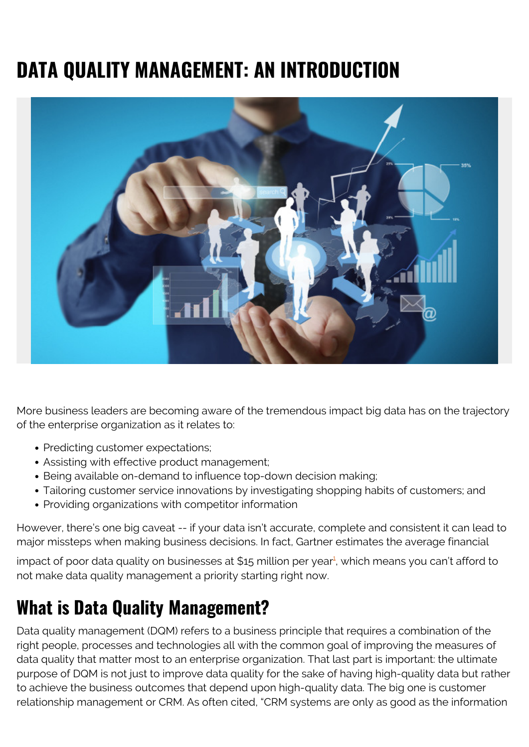# **DATA QUALITY MANAGEMENT: AN INTRODUCTION**



More business leaders are becoming aware of the tremendous impact big data has on the trajectory of the enterprise organization as it relates to:

- Predicting customer expectations;
- Assisting with effective product management;
- Being available on-demand to influence top-down decision making;
- Tailoring customer service innovations by investigating shopping habits of customers; and
- Providing organizations with competitor information

However, there's one big caveat -- if your data isn't accurate, complete and consistent it can lead to major missteps when making business decisions. In fact, Gartner estimates the average financial

impact of poor data quality on businesses at \$[1](#page--1-0)5 million per year<sup>1</sup>, which means you can't afford to not make data quality management a priority starting right now.

### **What is Data Quality Management?**

Data quality management (DQM) refers to a business principle that requires a combination of the right people, processes and technologies all with the common goal of improving the measures of data quality that matter most to an enterprise organization. That last part is important: the ultimate purpose of DQM is not just to improve data quality for the sake of having high-quality data but rather to achieve the business outcomes that depend upon high-quality data. The big one is customer relationship management or CRM. As often cited, "CRM systems are only as good as the information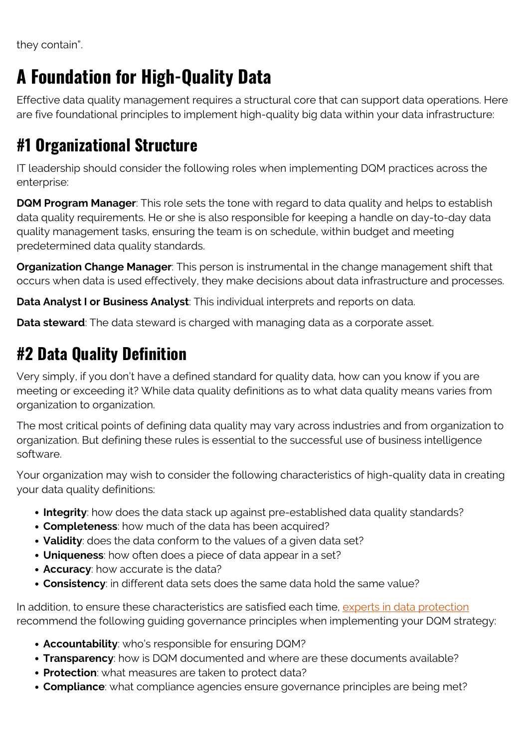they contain".

## **A Foundation for High-Quality Data**

Effective data quality management requires a structural core that can support data operations. Here are five foundational principles to implement high-quality big data within your data infrastructure:

### **#1 Organizational Structure**

IT leadership should consider the following roles when implementing DQM practices across the enterprise:

**DQM Program Manager**: This role sets the tone with regard to data quality and helps to establish data quality requirements. He or she is also responsible for keeping a handle on day-to-day data quality management tasks, ensuring the team is on schedule, within budget and meeting predetermined data quality standards.

**Organization Change Manager**: This person is instrumental in the change management shift that occurs when data is used effectively, they make decisions about data infrastructure and processes.

**Data Analyst I or Business Analyst**: This individual interprets and reports on data.

**Data steward**: The data steward is charged with managing data as a corporate asset.

#### **#2 Data Quality Definition**

Very simply, if you don't have a defined standard for quality data, how can you know if you are meeting or exceeding it? While data quality definitions as to what data quality means varies from organization to organization.

The most critical points of defining data quality may vary across industries and from organization to organization. But defining these rules is essential to the successful use of business intelligence software.

Your organization may wish to consider the following characteristics of high-quality data in creating your data quality definitions:

- **Integrity**: how does the data stack up against pre-established data quality standards?
- **Completeness**: how much of the data has been acquired?
- **Validity**: does the data conform to the values of a given data set?
- **Uniqueness**: how often does a piece of data appear in a set?
- **Accuracy**: how accurate is the data?
- **Consistency**: in different data sets does the same data hold the same value?

In addition, to ensure these characteristics are satisfied each time, [experts in data protection](http://library.ahima.org/PB/DataQualityModel#.WxrFslMvz5Z) recommend the following guiding governance principles when implementing your DQM strategy:

- **Accountability**: who's responsible for ensuring DQM?
- **Transparency**: how is DQM documented and where are these documents available?
- **Protection**: what measures are taken to protect data?
- **Compliance**: what compliance agencies ensure governance principles are being met?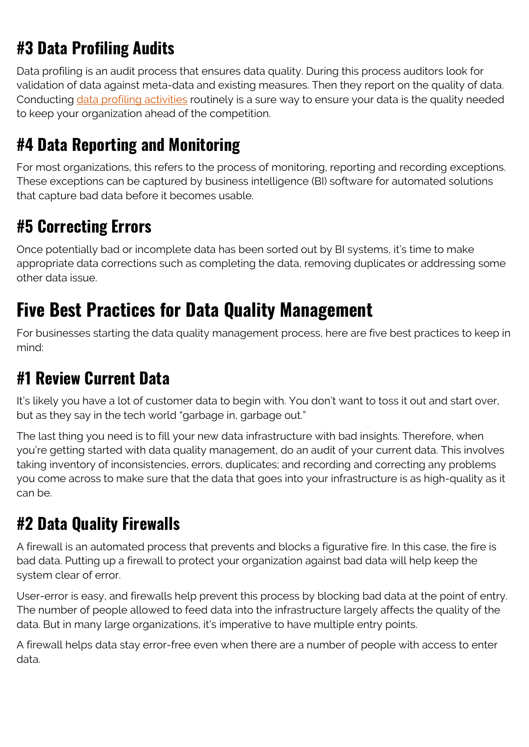### **#3 Data Profiling Audits**

Data profiling is an audit process that ensures data quality. During this process auditors look for validation of data against meta-data and existing measures. Then they report on the quality of data. Conducting [data profiling activities](https://www.gartner.com/it-glossary/data-profiling) routinely is a sure way to ensure your data is the quality needed to keep your organization ahead of the competition.

#### **#4 Data Reporting and Monitoring**

For most organizations, this refers to the process of monitoring, reporting and recording exceptions. These exceptions can be captured by business intelligence (BI) software for automated solutions that capture bad data before it becomes usable.

#### **#5 Correcting Errors**

Once potentially bad or incomplete data has been sorted out by BI systems, it's time to make appropriate data corrections such as completing the data, removing duplicates or addressing some other data issue.

### **Five Best Practices for Data Quality Management**

For businesses starting the data quality management process, here are five best practices to keep in mind:

#### **#1 Review Current Data**

It's likely you have a lot of customer data to begin with. You don't want to toss it out and start over, but as they say in the tech world "garbage in, garbage out."

The last thing you need is to fill your new data infrastructure with bad insights. Therefore, when you're getting started with data quality management, do an audit of your current data. This involves taking inventory of inconsistencies, errors, duplicates; and recording and correcting any problems you come across to make sure that the data that goes into your infrastructure is as high-quality as it can be.

### **#2 Data Quality Firewalls**

A firewall is an automated process that prevents and blocks a figurative fire. In this case, the fire is bad data. Putting up a firewall to protect your organization against bad data will help keep the system clear of error.

User-error is easy, and firewalls help prevent this process by blocking bad data at the point of entry. The number of people allowed to feed data into the infrastructure largely affects the quality of the data. But in many large organizations, it's imperative to have multiple entry points.

A firewall helps data stay error-free even when there are a number of people with access to enter data.